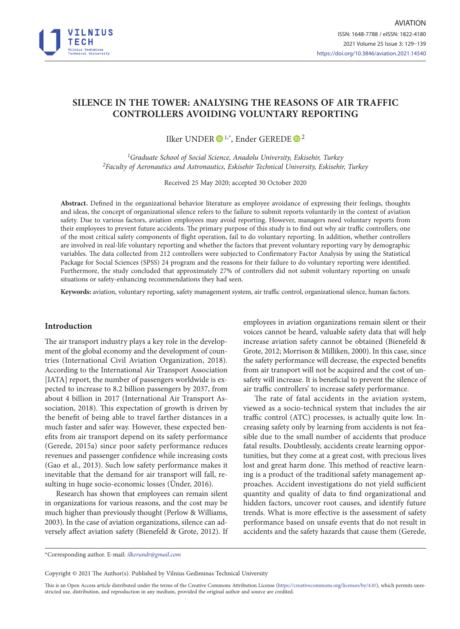

# **SILENCE IN THE TOWER: ANALYSING THE REASONS OF AIR TRAFFIC CONTROLLERS AVOIDING VOLUNTARY REPORTING**

Ilker UNDER D<sup>[1](https://orcid.org/0000-0001-6441-493X1),\*</sup>, Ender GEREDE D<sup>[2](https://orcid.org/0000-0002-8211-88752)</sup>

*1Graduate School of Social Science, Anadolu University, Eskisehir, Turkey 2Faculty of Aeronautics and Astronautics, Eskisehir Technical University, Eskisehir, Turkey*

Received 25 May 2020; accepted 30 October 2020

**Abstract.** Defined in the organizational behavior literature as employee avoidance of expressing their feelings, thoughts and ideas, the concept of organizational silence refers to the failure to submit reports voluntarily in the context of aviation safety. Due to various factors, aviation employees may avoid reporting. However, managers need voluntary reports from their employees to prevent future accidents. The primary purpose of this study is to find out why air traffic controllers, one of the most critical safety components of flight operation, fail to do voluntary reporting. In addition, whether controllers are involved in real-life voluntary reporting and whether the factors that prevent voluntary reporting vary by demographic variables. The data collected from 212 controllers were subjected to Confirmatory Factor Analysis by using the Statistical Package for Social Sciences (SPSS) 24 program and the reasons for their failure to do voluntary reporting were identified. Furthermore, the study concluded that approximately 27% of controllers did not submit voluntary reporting on unsafe situations or safety-enhancing recommendations they had seen.

**Keywords:** aviation, voluntary reporting, safety management system, air traffic control, organizational silence, human factors.

# **Introduction**

The air transport industry plays a key role in the development of the global economy and the development of countries (International Civil Aviation Organization, 2018). According to the International Air Transport Association [IATA] report, the number of passengers worldwide is expected to increase to 8.2 billion passengers by 2037, from about 4 billion in 2017 (International Air Transport Association, 2018). This expectation of growth is driven by the benefit of being able to travel farther distances in a much faster and safer way. However, these expected benefits from air transport depend on its safety performance (Gerede, 2015a) since poor safety performance reduces revenues and passenger confidence while increasing costs (Gao et al., 2013). Such low safety performance makes it inevitable that the demand for air transport will fall, resulting in huge socio-economic losses (Ünder, 2016).

Research has shown that employees can remain silent in organizations for various reasons, and the cost may be much higher than previously thought (Perlow & Williams, 2003). In the case of aviation organizations, silence can adversely affect aviation safety (Bienefeld & Grote, 2012). If employees in aviation organizations remain silent or their voices cannot be heard, valuable safety data that will help increase aviation safety cannot be obtained (Bienefeld & Grote, 2012; Morrison & Milliken, 2000). In this case, since the safety performance will decrease, the expected benefits from air transport will not be acquired and the cost of unsafety will increase. It is beneficial to prevent the silence of air traffic controllers' to increase safety performance.

The rate of fatal accidents in the aviation system, viewed as a socio-technical system that includes the air traffic control (ATC) processes, is actually quite low. Increasing safety only by learning from accidents is not feasible due to the small number of accidents that produce fatal results. Doubtlessly, accidents create learning opportunities, but they come at a great cost, with precious lives lost and great harm done. This method of reactive learning is a product of the traditional safety management approaches. Accident investigations do not yield sufficient quantity and quality of data to find organizational and hidden factors, uncover root causes, and identify future trends. What is more effective is the assessment of safety performance based on unsafe events that do not result in accidents and the safety hazards that cause them (Gerede,

Copyright © 2021 The Author(s). Published by Vilnius Gediminas Technical University

This is an Open Access article distributed under the terms of the Creative Commons Attribution License [\(https://creativecommons.org/licenses/by/4.0/\)](http://creativecommons.org/licenses/by/4.0/), which permits unrestricted use, distribution, and reproduction in any medium, provided the original author and source are credited.

<sup>\*</sup>Corresponding author. E-mail: *ilkerundr@gmail.com*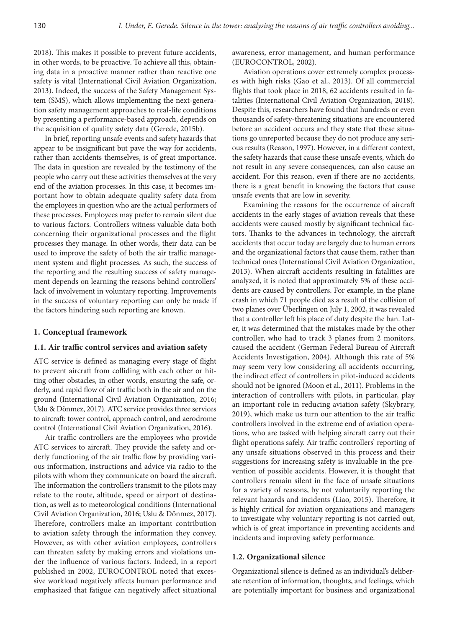2018). This makes it possible to prevent future accidents, in other words, to be proactive. To achieve all this, obtaining data in a proactive manner rather than reactive one safety is vital (International Civil Aviation Organization, 2013). Indeed, the success of the Safety Management System (SMS), which allows implementing the next-generation safety management approaches to real-life conditions by presenting a performance-based approach, depends on the acquisition of quality safety data (Gerede, 2015b).

In brief, reporting unsafe events and safety hazards that appear to be insignificant but pave the way for accidents, rather than accidents themselves, is of great importance. The data in question are revealed by the testimony of the people who carry out these activities themselves at the very end of the aviation processes. In this case, it becomes important how to obtain adequate quality safety data from the employees in question who are the actual performers of these processes. Employees may prefer to remain silent due to various factors. Controllers witness valuable data both concerning their organizational processes and the flight processes they manage. In other words, their data can be used to improve the safety of both the air traffic management system and flight processes. As such, the success of the reporting and the resulting success of safety management depends on learning the reasons behind controllers' lack of involvement in voluntary reporting. Improvements in the success of voluntary reporting can only be made if the factors hindering such reporting are known.

## **1. Conceptual framework**

### **1.1. Air traffic control services and aviation safety**

ATC service is defined as managing every stage of flight to prevent aircraft from colliding with each other or hitting other obstacles, in other words, ensuring the safe, orderly, and rapid flow of air traffic both in the air and on the ground (International Civil Aviation Organization, 2016; Uslu & Dönmez, 2017). ATC service provides three services to aircraft: tower control, approach control, and aerodrome control (International Civil Aviation Organization, 2016).

Air traffic controllers are the employees who provide ATC services to aircraft. They provide the safety and orderly functioning of the air traffic flow by providing various information, instructions and advice via radio to the pilots with whom they communicate on board the aircraft. The information the controllers transmit to the pilots may relate to the route, altitude, speed or airport of destination, as well as to meteorological conditions (International Civil Aviation Organization, 2016; Uslu & Dönmez, 2017). Therefore, controllers make an important contribution to aviation safety through the information they convey. However, as with other aviation employees, controllers can threaten safety by making errors and violations under the influence of various factors. Indeed, in a report published in 2002, EUROCONTROL noted that excessive workload negatively affects human performance and emphasized that fatigue can negatively affect situational

awareness, error management, and human performance (EUROCONTROL, 2002).

Aviation operations cover extremely complex processes with high risks (Gao et al., 2013). Of all commercial flights that took place in 2018, 62 accidents resulted in fatalities (International Civil Aviation Organization, 2018). Despite this, researchers have found that hundreds or even thousands of safety-threatening situations are encountered before an accident occurs and they state that these situations go unreported because they do not produce any serious results (Reason, 1997). However, in a different context, the safety hazards that cause these unsafe events, which do not result in any severe consequences, can also cause an accident. For this reason, even if there are no accidents, there is a great benefit in knowing the factors that cause unsafe events that are low in severity.

Examining the reasons for the occurrence of aircraft accidents in the early stages of aviation reveals that these accidents were caused mostly by significant technical factors. Thanks to the advances in technology, the aircraft accidents that occur today are largely due to human errors and the organizational factors that cause them, rather than technical ones (International Civil Aviation Organization, 2013). When aircraft accidents resulting in fatalities are analyzed, it is noted that approximately 5% of these accidents are caused by controllers. For example, in the plane crash in which 71 people died as a result of the collision of two planes over Überlingen on July 1, 2002, it was revealed that a controller left his place of duty despite the ban. Later, it was determined that the mistakes made by the other controller, who had to track 3 planes from 2 monitors, caused the accident (German Federal Bureau of Aircraft Accidents Investigation, 2004). Although this rate of 5% may seem very low considering all accidents occurring, the indirect effect of controllers in pilot-induced accidents should not be ignored (Moon et al., 2011). Problems in the interaction of controllers with pilots, in particular, play an important role in reducing aviation safety (Skybrary, 2019), which make us turn our attention to the air traffic controllers involved in the extreme end of aviation operations, who are tasked with helping aircraft carry out their flight operations safely. Air traffic controllers' reporting of any unsafe situations observed in this process and their suggestions for increasing safety is invaluable in the prevention of possible accidents. However, it is thought that controllers remain silent in the face of unsafe situations for a variety of reasons, by not voluntarily reporting the relevant hazards and incidents (Liao, 2015). Therefore, it is highly critical for aviation organizations and managers to investigate why voluntary reporting is not carried out, which is of great importance in preventing accidents and incidents and improving safety performance.

#### **1.2. Organizational silence**

Organizational silence is defined as an individual's deliberate retention of information, thoughts, and feelings, which are potentially important for business and organizational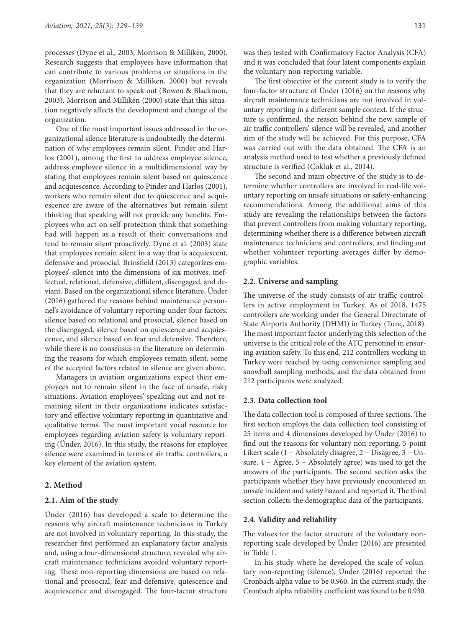processes (Dyne et al., 2003; Morrison & Milliken, 2000). Research suggests that employees have information that can contribute to various problems or situations in the organization (Morrison & Milliken, 2000) but reveals that they are reluctant to speak out (Bowen & Blackmon, 2003). Morrison and Milliken (2000) state that this situation negatively affects the development and change of the organization.

One of the most important issues addressed in the organizational silence literature is undoubtedly the determination of why employees remain silent. Pinder and Harlos (2001), among the first to address employee silence, address employee silence in a multidimensional way by stating that employees remain silent based on quiescence and acquiescence. According to Pinder and Harlos (2001), workers who remain silent due to quiescence and acquiescence are aware of the alternatives but remain silent thinking that speaking will not provide any benefits. Employees who act on self-protection think that something bad will happen as a result of their conversations and tend to remain silent proactively. Dyne et al. (2003) state that employees remain silent in a way that is acquiescent, defensive and prosocial. Brinsfield (2013) categorizes employees' silence into the dimensions of six motives: ineffectual, relational, defensive, diffident, disengaged, and deviant. Based on the organizational silence literature, Ünder (2016) gathered the reasons behind maintenance personnel's avoidance of voluntary reporting under four factors: silence based on relational and prosocial, silence based on the disengaged, silence based on quiescence and acquiescence, and silence based on fear and defensive. Therefore, while there is no consensus in the literature on determining the reasons for which employees remain silent, some of the accepted factors related to silence are given above.

Managers in aviation organizations expect their employees not to remain silent in the face of unsafe, risky situations. Aviation employees' speaking out and not remaining silent in their organizations indicates satisfactory and effective voluntary reporting in quantitative and qualitative terms. The most important vocal resource for employees regarding aviation safety is voluntary reporting (Ünder, 2016). In this study, the reasons for employee silence were examined in terms of air traffic controllers, a key element of the aviation system.

#### **2. Method**

### **2.1. Aim of the study**

Ünder (2016) has developed a scale to determine the reasons why aircraft maintenance technicians in Turkey are not involved in voluntary reporting. In this study, the researcher first performed an explanatory factor analysis and, using a four-dimensional structure, revealed why aircraft maintenance technicians avoided voluntary reporting. These non-reporting dimensions are based on relational and prosocial, fear and defensive, quiescence and acquiescence and disengaged. The four-factor structure

The first objective of the current study is to verify the four-factor structure of Ünder (2016) on the reasons why aircraft maintenance technicians are not involved in voluntary reporting in a different sample context. If the structure is confirmed, the reason behind the new sample of air traffic controllers' silence will be revealed, and another aim of the study will be achieved. For this purpose, CFA was carried out with the data obtained. The CFA is an analysis method used to test whether a previously defined structure is verified (Çokluk et al., 2014).

the voluntary non-reporting variable.

The second and main objective of the study is to determine whether controllers are involved in real-life voluntary reporting on unsafe situations or safety-enhancing recommendations. Among the additional aims of this study are revealing the relationships between the factors that prevent controllers from making voluntary reporting, determining whether there is a difference between aircraft maintenance technicians and controllers, and finding out whether volunteer reporting averages differ by demographic variables.

### **2.2. Universe and sampling**

The universe of the study consists of air traffic controllers in active employment in Turkey. As of 2018, 1475 controllers are working under the General Directorate of State Airports Authority (DHMI) in Turkey (Tunç, 2018). The most important factor underlying this selection of the universe is the critical role of the ATC personnel in ensuring aviation safety. To this end, 212 controllers working in Turkey were reached by using convenience sampling and snowball sampling methods, and the data obtained from 212 participants were analyzed.

# **2.3. Data collection tool**

The data collection tool is composed of three sections. The first section employs the data collection tool consisting of 25 items and 4 dimensions developed by Ünder (2016) to find out the reasons for voluntary non-reporting. 5-point Likert scale  $(1 - Absolutely disagree, 2 - Disagree, 3 - Un$ sure,  $4 - \text{Agree}, 5 - \text{Absolutely agree}$  was used to get the answers of the participants. The second section asks the participants whether they have previously encountered an unsafe incident and safety hazard and reported it. The third section collects the demographic data of the participants.

#### **2.4. Validity and reliability**

The values for the factor structure of the voluntary nonreporting scale developed by Ünder (2016) are presented in Table 1.

In his study where he developed the scale of voluntary non-reporting (silence), Ünder (2016) reported the Cronbach alpha value to be 0.960. In the current study, the Cronbach alpha reliability coefficient was found to be 0.930.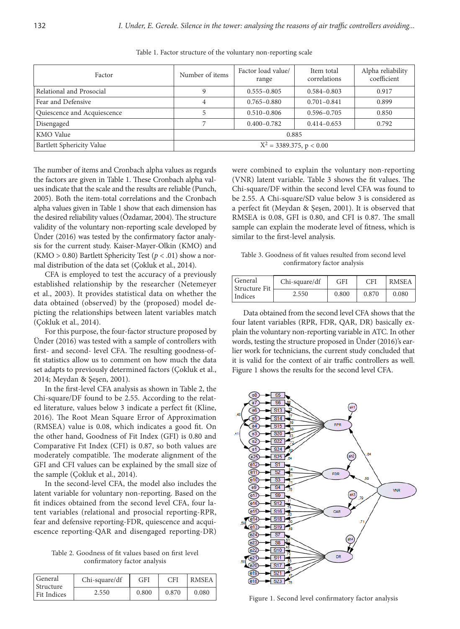| Factor                      | Number of items             | Factor load value/<br>range | Item total<br>correlations | Alpha reliability<br>coefficient |  |  |
|-----------------------------|-----------------------------|-----------------------------|----------------------------|----------------------------------|--|--|
| Relational and Prosocial    |                             | $0.555 - 0.805$             | $0.584 - 0.803$            | 0.917                            |  |  |
| Fear and Defensive          | 4                           | $0.765 - 0.880$             | $0.701 - 0.841$            | 0.899                            |  |  |
| Quiescence and Acquiescence |                             | $0.510 - 0.806$             | $0.596 - 0.705$            | 0.850                            |  |  |
| Disengaged                  |                             | $0.400 - 0.782$             | $0.414 - 0.653$            | 0.792                            |  |  |
| <b>KMO</b> Value            | 0.885                       |                             |                            |                                  |  |  |
| Bartlett Sphericity Value   | $X^2 = 3389.375$ , p < 0.00 |                             |                            |                                  |  |  |

Table 1. Factor structure of the voluntary non-reporting scale

The number of items and Cronbach alpha values as regards the factors are given in Table 1. These Cronbach alpha values indicate that the scale and the results are reliable (Punch, 2005). Both the item-total correlations and the Cronbach alpha values given in Table 1 show that each dimension has the desired reliability values (Özdamar, 2004). The structure validity of the voluntary non-reporting scale developed by Ünder (2016) was tested by the confirmatory factor analysis for the current study. Kaiser-Mayer-Olkin (KMO) and (KMO > 0.80) Bartlett Sphericity Test (*p* < .01) show a normal distribution of the data set (Çokluk et al., 2014).

CFA is employed to test the accuracy of a previously established relationship by the researcher (Netemeyer et al., 2003). It provides statistical data on whether the data obtained (observed) by the (proposed) model depicting the relationships between latent variables match (Çokluk et al., 2014).

For this purpose, the four-factor structure proposed by Ünder (2016) was tested with a sample of controllers with first- and second- level CFA. The resulting goodness-offit statistics allow us to comment on how much the data set adapts to previously determined factors (Çokluk et al., 2014; Meydan & Şeşen, 2001).

In the first-level CFA analysis as shown in Table 2, the Chi-square/DF found to be 2.55. According to the related literature, values below 3 indicate a perfect fit (Kline, 2016). The Root Mean Square Error of Approximation (RMSEA) value is 0.08, which indicates a good fit. On the other hand, Goodness of Fit Index (GFI) is 0.80 and Comparative Fıt Index (CFI) is 0.87, so both values are moderately compatible. The moderate alignment of the GFI and CFI values can be explained by the small size of the sample (Çokluk et al., 2014).

In the second-level CFA, the model also includes the latent variable for voluntary non-reporting. Based on the fit indices obtained from the second level CFA, four latent variables (relational and prosocial reporting-RPR, fear and defensive reporting-FDR, quiescence and acquiescence reporting-QAR and disengaged reporting-DR)

Table 2. Goodness of fit values based on first level confirmatory factor analysis

| General<br>Structure | Chi-square/df | <b>GFI</b> | CFI   | <b>RMSEA</b> |
|----------------------|---------------|------------|-------|--------------|
| Fit Indices          | 2.550         | 0.800      | 0.870 | 0.080        |

were combined to explain the voluntary non-reporting (VNR) latent variable. Table 3 shows the fit values. The Chi-square/DF within the second level CFA was found to be 2.55. A Chi-square/SD value below 3 is considered as a perfect fit (Meydan & Şeşen, 2001). It is observed that RMSEA is 0.08, GFI is 0.80, and CFI is 0.87. The small sample can explain the moderate level of fitness, which is similar to the first-level analysis.

Table 3. Goodness of fit values resulted from second level confirmatory factor analysis

| General<br>Structure Fit | Chi-square/df | <b>GFI</b> | CFI   | <b>RMSEA</b> |
|--------------------------|---------------|------------|-------|--------------|
| Indices                  | 2.550         | 0.800      | 0.870 | 0.080        |

Data obtained from the second level CFA shows that the four latent variables (RPR, FDR, QAR, DR) basically explain the voluntary non-reporting variable in ATC. In other words, testing the structure proposed in Ünder (2016)'s earlier work for technicians, the current study concluded that it is valid for the context of air traffic controllers as well. Figure 1 shows the results for the second level CFA.



Figure 1. Second level confirmatory factor analysis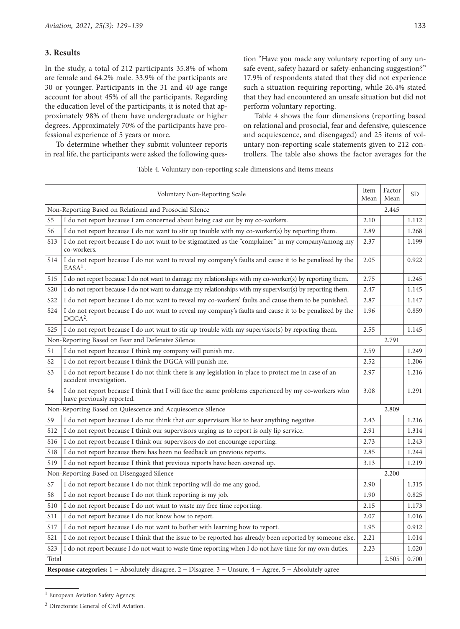# **3. Results**

In the study, a total of 212 participants 35.8% of whom are female and 64.2% male. 33.9% of the participants are 30 or younger. Participants in the 31 and 40 age range account for about 45% of all the participants. Regarding the education level of the participants, it is noted that approximately 98% of them have undergraduate or higher degrees. Approximately 70% of the participants have professional experience of 5 years or more.

To determine whether they submit volunteer reports in real life, the participants were asked the following question "Have you made any voluntary reporting of any unsafe event, safety hazard or safety-enhancing suggestion?" 17.9% of respondents stated that they did not experience such a situation requiring reporting, while 26.4% stated that they had encountered an unsafe situation but did not perform voluntary reporting.

Table 4 shows the four dimensions (reporting based on relational and prosocial, fear and defensive, quiescence and acquiescence, and disengaged) and 25 items of voluntary non-reporting scale statements given to 212 controllers. The table also shows the factor averages for the

Table 4. Voluntary non-reporting scale dimensions and items means

|                                                            | Item<br>Mean                                                                                                                     | Factor<br>Mean | <b>SD</b> |       |  |  |  |  |
|------------------------------------------------------------|----------------------------------------------------------------------------------------------------------------------------------|----------------|-----------|-------|--|--|--|--|
| Non-Reporting Based on Relational and Prosocial Silence    |                                                                                                                                  | 2.445          |           |       |  |  |  |  |
| S5                                                         | I do not report because I am concerned about being cast out by my co-workers.                                                    | 2.10           |           | 1.112 |  |  |  |  |
| S6                                                         | I do not report because I do not want to stir up trouble with my co-worker(s) by reporting them.                                 | 2.89           |           | 1.268 |  |  |  |  |
| S13                                                        | I do not report because I do not want to be stigmatized as the "complainer" in my company/among my<br>co-workers.                | 2.37           |           | 1.199 |  |  |  |  |
| S <sub>14</sub>                                            | I do not report because I do not want to reveal my company's faults and cause it to be penalized by the<br>$EASA1$ .             | 2.05           |           | 0.922 |  |  |  |  |
| <b>S15</b>                                                 | I do not report because I do not want to damage my relationships with my co-worker(s) by reporting them.                         | 2.75           |           | 1.245 |  |  |  |  |
| S20                                                        | I do not report because I do not want to damage my relationships with my supervisor(s) by reporting them.                        | 2.47           |           | 1.145 |  |  |  |  |
| S <sub>22</sub>                                            | I do not report because I do not want to reveal my co-workers' faults and cause them to be punished.                             | 2.87           |           | 1.147 |  |  |  |  |
| S24                                                        | I do not report because I do not want to reveal my company's faults and cause it to be penalized by the<br>$DGCA2$ .             | 1.96           |           | 0.859 |  |  |  |  |
| S <sub>25</sub>                                            | I do not report because I do not want to stir up trouble with my supervisor(s) by reporting them.                                | 2.55           |           | 1.145 |  |  |  |  |
|                                                            | Non-Reporting Based on Fear and Defensive Silence                                                                                |                | 2.791     |       |  |  |  |  |
| S1                                                         | I do not report because I think my company will punish me.                                                                       | 2.59           |           | 1.249 |  |  |  |  |
| S <sub>2</sub>                                             | I do not report because I think the DGCA will punish me.                                                                         | 2.52           |           | 1.206 |  |  |  |  |
| S3                                                         | I do not report because I do not think there is any legislation in place to protect me in case of an<br>accident investigation.  | 2.97           |           | 1.216 |  |  |  |  |
| S4                                                         | I do not report because I think that I will face the same problems experienced by my co-workers who<br>have previously reported. | 3.08           |           | 1.291 |  |  |  |  |
| Non-Reporting Based on Quiescence and Acquiescence Silence |                                                                                                                                  |                |           |       |  |  |  |  |
| S9                                                         | I do not report because I do not think that our supervisors like to hear anything negative.                                      | 2.43           |           | 1.216 |  |  |  |  |
| S12                                                        | I do not report because I think our supervisors urging us to report is only lip service.                                         | 2.91           |           | 1.314 |  |  |  |  |
| S16                                                        | I do not report because I think our supervisors do not encourage reporting.                                                      | 2.73           |           | 1.243 |  |  |  |  |
| S <sub>18</sub>                                            | I do not report because there has been no feedback on previous reports.                                                          | 2.85           |           | 1.244 |  |  |  |  |
| S <sub>19</sub>                                            | I do not report because I think that previous reports have been covered up.                                                      | 3.13           |           | 1.219 |  |  |  |  |
|                                                            | Non-Reporting Based on Disengaged Silence                                                                                        |                | 2.200     |       |  |  |  |  |
| S7                                                         | I do not report because I do not think reporting will do me any good.                                                            | 2.90           |           | 1.315 |  |  |  |  |
| S8                                                         | I do not report because I do not think reporting is my job.                                                                      | 1.90           |           | 0.825 |  |  |  |  |
| S10                                                        | I do not report because I do not want to waste my free time reporting.                                                           | 2.15           |           | 1.173 |  |  |  |  |
| S11                                                        | I do not report because I do not know how to report.                                                                             | 2.07           |           | 1.016 |  |  |  |  |
| S17                                                        | I do not report because I do not want to bother with learning how to report.                                                     | 1.95           |           | 0.912 |  |  |  |  |
| S21                                                        | I do not report because I think that the issue to be reported has already been reported by someone else.                         | 2.21           |           | 1.014 |  |  |  |  |
| S <sub>2</sub> 3                                           | I do not report because I do not want to waste time reporting when I do not have time for my own duties.                         | 2.23           |           | 1.020 |  |  |  |  |
|                                                            | Total<br>2.505<br>0.700                                                                                                          |                |           |       |  |  |  |  |
|                                                            | Response categories: 1 - Absolutely disagree, 2 - Disagree, 3 - Unsure, 4 - Agree, 5 - Absolutely agree                          |                |           |       |  |  |  |  |

<sup>&</sup>lt;sup>1</sup> European Aviation Safety Agency.

<sup>2</sup> Directorate General of Civil Aviation.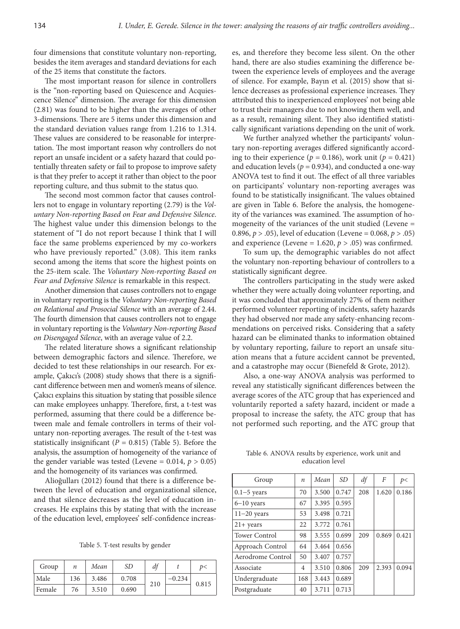four dimensions that constitute voluntary non-reporting, besides the item averages and standard deviations for each of the 25 items that constitute the factors.

The most important reason for silence in controllers is the "non-reporting based on Quiescence and Acquiescence Silence" dimension. The average for this dimension (2.81) was found to be higher than the averages of other 3-dimensions. There are 5 items under this dimension and the standard deviation values range from 1.216 to 1.314. These values are considered to be reasonable for interpretation. The most important reason why controllers do not report an unsafe incident or a safety hazard that could potentially threaten safety or fail to propose to improve safety is that they prefer to accept it rather than object to the poor reporting culture, and thus submit to the status quo.

The second most common factor that causes controllers not to engage in voluntary reporting (2.79) is the *Voluntary Non-reporting Based on Fear and Defensive Silence*. The highest value under this dimension belongs to the statement of "I do not report because I think that I will face the same problems experienced by my co-workers who have previously reported." (3.08). This item ranks second among the items that score the highest points on the 25-item scale. The *Voluntary Non-reporting Based on Fear and Defensive Silence* is remarkable in this respect.

Another dimension that causes controllers not to engage in voluntary reporting is the *Voluntary Non-reporting Based on Relational and Prosocial Silence* with an average of 2.44. The fourth dimension that causes controllers not to engage in voluntary reporting is the *Voluntary Non-reporting Based on Disengaged Silence*, with an average value of 2.2.

The related literature shows a significant relationship between demographic factors and silence. Therefore, we decided to test these relationships in our research. For example, Çakıcı's (2008) study shows that there is a significant difference between men and women's means of silence. Çakıcı explains this situation by stating that possible silence can make employees unhappy. Therefore, first, a t-test was performed, assuming that there could be a difference between male and female controllers in terms of their voluntary non-reporting averages. The result of the t-test was statistically insignificant  $(P = 0.815)$  (Table 5). Before the analysis, the assumption of homogeneity of the variance of the gender variable was tested (Levene =  $0.014$ ,  $p > 0.05$ ) and the homogeneity of its variances was confirmed.

Alioğulları (2012) found that there is a difference between the level of education and organizational silence, and that silence decreases as the level of education increases. He explains this by stating that with the increase of the education level, employees' self-confidence increas-

Table 5. T-test results by gender

| Group  | п   | Mean  | SD    | df  |          | D<    |
|--------|-----|-------|-------|-----|----------|-------|
| Male   | 136 | 3.486 | 0.708 | 210 | $-0.234$ | 0.815 |
| Female | 76  | 3.510 | 0.690 |     |          |       |

es, and therefore they become less silent. On the other hand, there are also studies examining the difference between the experience levels of employees and the average of silence. For example, Bayın et al. (2015) show that silence decreases as professional experience increases. They attributed this to inexperienced employees' not being able to trust their managers due to not knowing them well, and as a result, remaining silent. They also identified statistically significant variations depending on the unit of work.

We further analyzed whether the participants' voluntary non-reporting averages differed significantly according to their experience ( $p = 0.186$ ), work unit ( $p = 0.421$ ) and education levels ( $p = 0.934$ ), and conducted a one-way ANOVA test to find it out. The effect of all three variables on participants' voluntary non-reporting averages was found to be statistically insignificant. The values obtained are given in Table 6. Before the analysis, the homogeneity of the variances was examined. The assumption of homogeneity of the variances of the unit studied (Levene = 0.896, *p* > .05), level of education (Levene = 0.068, *p* > .05) and experience (Levene =  $1.620$ ,  $p > .05$ ) was confirmed.

To sum up, the demographic variables do not affect the voluntary non-reporting behaviour of controllers to a statistically significant degree.

The controllers participating in the study were asked whether they were actually doing volunteer reporting, and it was concluded that approximately 27% of them neither performed volunteer reporting of incidents, safety hazards they had observed nor made any safety-enhancing recommendations on perceived risks. Considering that a safety hazard can be eliminated thanks to information obtained by voluntary reporting, failure to report an unsafe situation means that a future accident cannot be prevented, and a catastrophe may occur (Bienefeld & Grote, 2012).

Also, a one-way ANOVA analysis was performed to reveal any statistically significant differences between the average scores of the ATC group that has experienced and voluntarily reported a safety hazard, incident or made a proposal to increase the safety, the ATC group that has not performed such reporting, and the ATC group that

Table 6. ANOVA results by experience, work unit and education level

| Group             | $\boldsymbol{n}$ | Mean  | <i>SD</i> | df  | F     | p<    |
|-------------------|------------------|-------|-----------|-----|-------|-------|
| $0.1 - 5$ years   | 70               | 3.500 | 0.747     | 208 | 1.620 | 0.186 |
| $6 - 10$ years    | 67               | 3.395 | 0.595     |     |       |       |
| $11-20$ years     | 53               | 3.498 | 0.721     |     |       |       |
| $21+$ years       | 22               | 3.772 | 0.761     |     |       |       |
| Tower Control     | 98               | 3.555 | 0.699     | 209 | 0.869 | 0.421 |
| Approach Control  | 64               | 3.464 | 0.656     |     |       |       |
| Aerodrome Control | 50               | 3.407 | 0.757     |     |       |       |
| Associate         | 4                | 3.510 | 0.806     | 209 | 2.393 | 0.094 |
| Undergraduate     | 168              | 3.443 | 0.689     |     |       |       |
| Postgraduate      | 40               | 3.711 | 0.713     |     |       |       |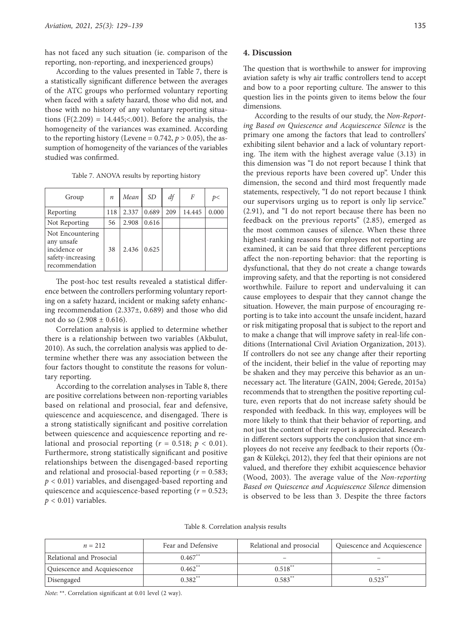has not faced any such situation (ie. comparison of the reporting, non-reporting, and inexperienced groups)

According to the values presented in Table 7, there is a statistically significant difference between the averages of the ATC groups who performed voluntary reporting when faced with a safety hazard, those who did not, and those with no history of any voluntary reporting situations (F(2.209) = 14.445;<.001). Before the analysis, the homogeneity of the variances was examined. According to the reporting history (Levene =  $0.742$ ,  $p > 0.05$ ), the assumption of homogeneity of the variances of the variables studied was confirmed.

Table 7. ANOVA results by reporting history

| Group                                                                                 | n   | Mean  | SD    | df  | F      | p<    |
|---------------------------------------------------------------------------------------|-----|-------|-------|-----|--------|-------|
| Reporting                                                                             | 118 | 2.337 | 0.689 | 209 | 14.445 | 0.000 |
| Not Reporting                                                                         | 56  | 2.908 | 0.616 |     |        |       |
| Not Encountering<br>any unsafe<br>incidence or<br>safety-increasing<br>recommendation | 38  | 2.436 | 0.625 |     |        |       |

The post-hoc test results revealed a statistical difference between the controllers performing voluntary reporting on a safety hazard, incident or making safety enhancing recommendation (2.337±, 0.689) and those who did not do so  $(2.908 \pm 0.616)$ .

Correlation analysis is applied to determine whether there is a relationship between two variables (Akbulut, 2010). As such, the correlation analysis was applied to determine whether there was any association between the four factors thought to constitute the reasons for voluntary reporting.

According to the correlation analyses in Table 8, there are positive correlations between non-reporting variables based on relational and prosocial, fear and defensive, quiescence and acquiescence, and disengaged. There is a strong statistically significant and positive correlation between quiescence and acquiescence reporting and relational and prosocial reporting  $(r = 0.518; p < 0.01)$ . Furthermore, strong statistically significant and positive relationships between the disengaged-based reporting and relational and prosocial-based reporting (*r* = 0.583; *p* < 0.01) variables, and disengaged-based reporting and quiescence and acquiescence-based reporting (*r* = 0.523;  $p < 0.01$ ) variables.

# **4. Discussion**

The question that is worthwhile to answer for improving aviation safety is why air traffic controllers tend to accept and bow to a poor reporting culture. The answer to this question lies in the points given to items below the four dimensions.

According to the results of our study, the *Non-Reporting Based on Quiescence and Acquiescence Silence* is the primary one among the factors that lead to controllers' exhibiting silent behavior and a lack of voluntary reporting. The item with the highest average value (3.13) in this dimension was "I do not report because I think that the previous reports have been covered up". Under this dimension, the second and third most frequently made statements, respectively, "I do not report because I think our supervisors urging us to report is only lip service." (2.91), and "I do not report because there has been no feedback on the previous reports" (2.85), emerged as the most common causes of silence. When these three highest-ranking reasons for employees not reporting are examined, it can be said that three different perceptions affect the non-reporting behavior: that the reporting is dysfunctional, that they do not create a change towards improving safety, and that the reporting is not considered worthwhile. Failure to report and undervaluing it can cause employees to despair that they cannot change the situation. However, the main purpose of encouraging reporting is to take into account the unsafe incident, hazard or risk mitigating proposal that is subject to the report and to make a change that will improve safety in real-life conditions (International Civil Aviation Organization, 2013). If controllers do not see any change after their reporting of the incident, their belief in the value of reporting may be shaken and they may perceive this behavior as an unnecessary act. The literature (GAIN, 2004; Gerede, 2015a) recommends that to strengthen the positive reporting culture, even reports that do not increase safety should be responded with feedback. In this way, employees will be more likely to think that their behavior of reporting, and not just the content of their report is appreciated. Research in different sectors supports the conclusion that since employees do not receive any feedback to their reports (Özgan & Külekçi, 2012), they feel that their opinions are not valued, and therefore they exhibit acquiescence behavior (Wood, 2003). The average value of the *Non-reporting Based on Quiescence and Acquiescence Silence* dimension is observed to be less than 3. Despite the three factors

Table 8. Correlation analysis results

| $n = 212$                   | Fear and Defensive    | Relational and prosocial | Quiescence and Acquiescence |
|-----------------------------|-----------------------|--------------------------|-----------------------------|
| Relational and Prosocial    | $0.467**$             |                          |                             |
| Quiescence and Acquiescence | $0.462$ <sup>**</sup> | $0.518$ <sup>**</sup>    | $\overline{\phantom{0}}$    |
| Disengaged                  | $0.382**$             | $0.583**$                | $0.523$ <sup>*</sup>        |

*Note*: \*\*. Correlation significant at 0.01 level (2 way).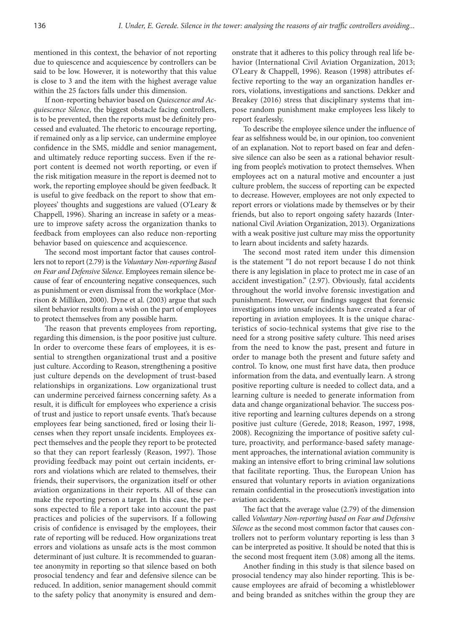mentioned in this context, the behavior of not reporting due to quiescence and acquiescence by controllers can be said to be low. However, it is noteworthy that this value is close to 3 and the item with the highest average value within the 25 factors falls under this dimension.

If non-reporting behavior based on *Quiescence and Acquiescence Silence*, the biggest obstacle facing controllers, is to be prevented, then the reports must be definitely processed and evaluated. The rhetoric to encourage reporting, if remained only as a lip service, can undermine employee confidence in the SMS, middle and senior management, and ultimately reduce reporting success. Even if the report content is deemed not worth reporting, or even if the risk mitigation measure in the report is deemed not to work, the reporting employee should be given feedback. It is useful to give feedback on the report to show that employees' thoughts and suggestions are valued (O'Leary & Chappell, 1996). Sharing an increase in safety or a measure to improve safety across the organization thanks to feedback from employees can also reduce non-reporting behavior based on quiescence and acquiescence.

The second most important factor that causes controllers not to report (2.79) is the *Voluntary Non-reporting Based on Fear and Defensive Silence.* Employees remain silence because of fear of encountering negative consequences, such as punishment or even dismissal from the workplace (Morrison & Milliken, 2000). Dyne et al. (2003) argue that such silent behavior results from a wish on the part of employees to protect themselves from any possible harm.

The reason that prevents employees from reporting, regarding this dimension, is the poor positive just culture. In order to overcome these fears of employees, it is essential to strengthen organizational trust and a positive just culture. According to Reason, strengthening a positive just culture depends on the development of trust-based relationships in organizations. Low organizational trust can undermine perceived fairness concerning safety. As a result, it is difficult for employees who experience a crisis of trust and justice to report unsafe events. That's because employees fear being sanctioned, fired or losing their licenses when they report unsafe incidents. Employees expect themselves and the people they report to be protected so that they can report fearlessly (Reason, 1997). Those providing feedback may point out certain incidents, errors and violations which are related to themselves, their friends, their supervisors, the organization itself or other aviation organizations in their reports. All of these can make the reporting person a target. In this case, the persons expected to file a report take into account the past practices and policies of the supervisors. If a following crisis of confidence is envisaged by the employees, their rate of reporting will be reduced. How organizations treat errors and violations as unsafe acts is the most common determinant of just culture. It is recommended to guarantee anonymity in reporting so that silence based on both prosocial tendency and fear and defensive silence can be reduced. In addition, senior management should commit to the safety policy that anonymity is ensured and demonstrate that it adheres to this policy through real life behavior (International Civil Aviation Organization, 2013; O'Leary & Chappell, 1996). Reason (1998) attributes effective reporting to the way an organization handles errors, violations, investigations and sanctions. Dekker and Breakey (2016) stress that disciplinary systems that impose random punishment make employees less likely to report fearlessly.

To describe the employee silence under the influence of fear as selfishness would be, in our opinion, too convenient of an explanation. Not to report based on fear and defensive silence can also be seen as a rational behavior resulting from people's motivation to protect themselves. When employees act on a natural motive and encounter a just culture problem, the success of reporting can be expected to decrease. However, employees are not only expected to report errors or violations made by themselves or by their friends, but also to report ongoing safety hazards (International Civil Aviation Organization, 2013). Organizations with a weak positive just culture may miss the opportunity to learn about incidents and safety hazards.

The second most rated item under this dimension is the statement "I do not report because I do not think there is any legislation in place to protect me in case of an accident investigation." (2.97). Obviously, fatal accidents throughout the world involve forensic investigation and punishment. However, our findings suggest that forensic investigations into unsafe incidents have created a fear of reporting in aviation employees. It is the unique characteristics of socio-technical systems that give rise to the need for a strong positive safety culture. This need arises from the need to know the past, present and future in order to manage both the present and future safety and control. To know, one must first have data, then produce information from the data, and eventually learn. A strong positive reporting culture is needed to collect data, and a learning culture is needed to generate information from data and change organizational behavior. The success positive reporting and learning cultures depends on a strong positive just culture (Gerede, 2018; Reason, 1997, 1998, 2008). Recognizing the importance of positive safety culture, proactivity, and performance-based safety management approaches, the international aviation community is making an intensive effort to bring criminal law solutions that facilitate reporting. Thus, the European Union has ensured that voluntary reports in aviation organizations remain confidential in the prosecution's investigation into aviation accidents.

The fact that the average value (2.79) of the dimension called *Voluntary Non-reporting based on Fear and Defensive Silence* as the second most common factor that causes controllers not to perform voluntary reporting is less than 3 can be interpreted as positive. It should be noted that this is the second most frequent item (3.08) among all the items.

Another finding in this study is that silence based on prosocial tendency may also hinder reporting. This is because employees are afraid of becoming a whistleblower and being branded as snitches within the group they are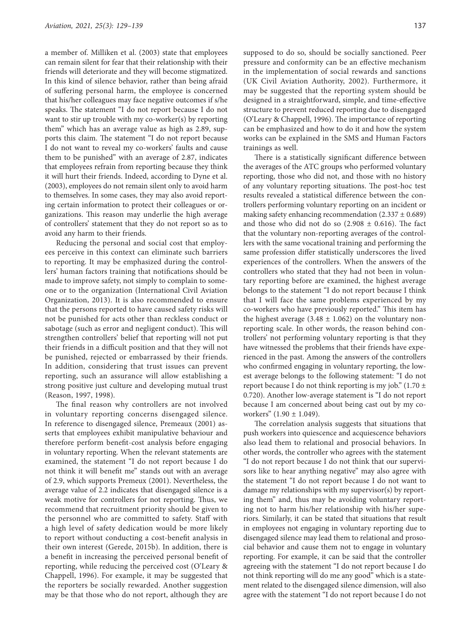a member of. Milliken et al. (2003) state that employees can remain silent for fear that their relationship with their friends will deteriorate and they will become stigmatized. In this kind of silence behavior, rather than being afraid of suffering personal harm, the employee is concerned that his/her colleagues may face negative outcomes if s/he speaks. The statement "I do not report because I do not want to stir up trouble with my co-worker(s) by reporting them" which has an average value as high as 2.89, supports this claim. The statement "I do not report because I do not want to reveal my co-workers' faults and cause them to be punished" with an average of 2.87, indicates that employees refrain from reporting because they think it will hurt their friends. Indeed, according to Dyne et al. (2003), employees do not remain silent only to avoid harm to themselves. In some cases, they may also avoid reporting certain information to protect their colleagues or organizations. This reason may underlie the high average of controllers' statement that they do not report so as to avoid any harm to their friends.

Reducing the personal and social cost that employees perceive in this context can eliminate such barriers to reporting. It may be emphasized during the controllers' human factors training that notifications should be made to improve safety, not simply to complain to someone or to the organization (International Civil Aviation Organization, 2013). It is also recommended to ensure that the persons reported to have caused safety risks will not be punished for acts other than reckless conduct or sabotage (such as error and negligent conduct). This will strengthen controllers' belief that reporting will not put their friends in a difficult position and that they will not be punished, rejected or embarrassed by their friends. In addition, considering that trust issues can prevent reporting, such an assurance will allow establishing a strong positive just culture and developing mutual trust (Reason, 1997, 1998).

The final reason why controllers are not involved in voluntary reporting concerns disengaged silence. In reference to disengaged silence, Premeaux (2001) asserts that employees exhibit manipulative behaviour and therefore perform benefit-cost analysis before engaging in voluntary reporting. When the relevant statements are examined, the statement "I do not report because I do not think it will benefit me" stands out with an average of 2.9, which supports Premeux (2001). Nevertheless, the average value of 2.2 indicates that disengaged silence is a weak motive for controllers for not reporting. Thus, we recommend that recruitment priority should be given to the personnel who are committed to safety. Staff with a high level of safety dedication would be more likely to report without conducting a cost-benefit analysis in their own interest (Gerede, 2015b). In addition, there is a benefit in increasing the perceived personal benefit of reporting, while reducing the perceived cost (O'Leary & Chappell, 1996). For example, it may be suggested that the reporters be socially rewarded. Another suggestion may be that those who do not report, although they are

supposed to do so, should be socially sanctioned. Peer pressure and conformity can be an effective mechanism in the implementation of social rewards and sanctions (UK Civil Aviation Authority, 2002). Furthermore, it may be suggested that the reporting system should be designed in a straightforward, simple, and time-effective structure to prevent reduced reporting due to disengaged (O'Leary & Chappell, 1996). The importance of reporting can be emphasized and how to do it and how the system works can be explained in the SMS and Human Factors trainings as well.

There is a statistically significant difference between the averages of the ATC groups who performed voluntary reporting, those who did not, and those with no history of any voluntary reporting situations. The post-hoc test results revealed a statistical difference between the controllers performing voluntary reporting on an incident or making safety enhancing recommendation  $(2.337 \pm 0.689)$ and those who did not do so  $(2.908 \pm 0.616)$ . The fact that the voluntary non-reporting averages of the controllers with the same vocational training and performing the same profession differ statistically underscores the lived experiences of the controllers. When the answers of the controllers who stated that they had not been in voluntary reporting before are examined, the highest average belongs to the statement "I do not report because I think that I will face the same problems experienced by my co-workers who have previously reported." This item has the highest average  $(3.48 \pm 1.062)$  on the voluntary nonreporting scale. In other words, the reason behind controllers' not performing voluntary reporting is that they have witnessed the problems that their friends have experienced in the past. Among the answers of the controllers who confirmed engaging in voluntary reporting, the lowest average belongs to the following statement: "I do not report because I do not think reporting is my job." (1.70  $\pm$ 0.720). Another low-average statement is "I do not report because I am concerned about being cast out by my coworkers" (1.90 ± 1.049).

The correlation analysis suggests that situations that push workers into quiescence and acquiescence behaviors also lead them to relational and prosocial behaviors. In other words, the controller who agrees with the statement "I do not report because I do not think that our supervisors like to hear anything negative" may also agree with the statement "I do not report because I do not want to damage my relationships with my supervisor(s) by reporting them" and, thus may be avoiding voluntary reporting not to harm his/her relationship with his/her superiors. Similarly, it can be stated that situations that result in employees not engaging in voluntary reporting due to disengaged silence may lead them to relational and prosocial behavior and cause them not to engage in voluntary reporting. For example, it can be said that the controller agreeing with the statement "I do not report because I do not think reporting will do me any good" which is a statement related to the disengaged silence dimension, will also agree with the statement "I do not report because I do not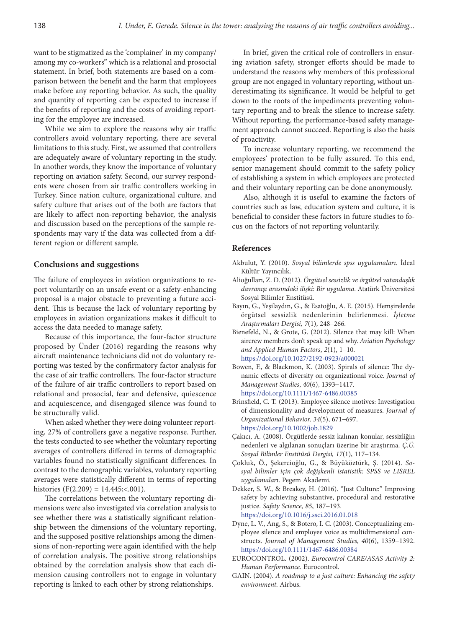want to be stigmatized as the 'complainer' in my company/ among my co-workers" which is a relational and prosocial statement. In brief, both statements are based on a comparison between the benefit and the harm that employees make before any reporting behavior. As such, the quality and quantity of reporting can be expected to increase if the benefits of reporting and the costs of avoiding reporting for the employee are increased.

While we aim to explore the reasons why air traffic controllers avoid voluntary reporting, there are several limitations to this study. First, we assumed that controllers are adequately aware of voluntary reporting in the study. In another words, they know the importance of voluntary reporting on aviation safety. Second, our survey respondents were chosen from air traffic controllers working in Turkey. Since nation culture, organizational culture, and safety culture that arises out of the both are factors that are likely to affect non-reporting behavior, the analysis and discussion based on the perceptions of the sample respondents may vary if the data was collected from a different region or different sample.

#### **Conclusions and suggestions**

The failure of employees in aviation organizations to report voluntarily on an unsafe event or a safety-enhancing proposal is a major obstacle to preventing a future accident. This is because the lack of voluntary reporting by employees in aviation organizations makes it difficult to access the data needed to manage safety.

Because of this importance, the four-factor structure proposed by Ünder (2016) regarding the reasons why aircraft maintenance technicians did not do voluntary reporting was tested by the confirmatory factor analysis for the case of air traffic controllers. The four-factor structure of the failure of air traffic controllers to report based on relational and prosocial, fear and defensive, quiescence and acquiescence, and disengaged silence was found to be structurally valid.

When asked whether they were doing volunteer reporting, 27% of controllers gave a negative response. Further, the tests conducted to see whether the voluntary reporting averages of controllers differed in terms of demographic variables found no statistically significant differences. In contrast to the demographic variables, voluntary reporting averages were statistically different in terms of reporting histories  $(F(2.209) = 14.445; < .001)$ .

The correlations between the voluntary reporting dimensions were also investigated via correlation analysis to see whether there was a statistically significant relationship between the dimensions of the voluntary reporting, and the supposed positive relationships among the dimensions of non-reporting were again identified with the help of correlation analysis. The positive strong relationships obtained by the correlation analysis show that each dimension causing controllers not to engage in voluntary reporting is linked to each other by strong relationships.

In brief, given the critical role of controllers in ensuring aviation safety, stronger efforts should be made to understand the reasons why members of this professional group are not engaged in voluntary reporting, without underestimating its significance. It would be helpful to get down to the roots of the impediments preventing voluntary reporting and to break the silence to increase safety. Without reporting, the performance-based safety management approach cannot succeed. Reporting is also the basis of proactivity.

To increase voluntary reporting, we recommend the employees' protection to be fully assured. To this end, senior management should commit to the safety policy of establishing a system in which employees are protected and their voluntary reporting can be done anonymously.

Also, although it is useful to examine the factors of countries such as law, education system and culture, it is beneficial to consider these factors in future studies to focus on the factors of not reporting voluntarily.

### **References**

- Akbulut, Y. (2010). *Sosyal bilimlerde spss uygulamaları.* İdeal Kültür Yayıncılık.
- Alioğulları, Z. D. (2012). *Örgütsel sessizlik ve örgütsel vatandaşlık davranışı arasındaki ilişki: Bir uygulama*. Atatürk Üniversitesi Sosyal Bilimler Enstitüsü.
- Bayın, G., Yeşilaydın, G., & Esatoğlu, A. E. (2015). Hemşirelerde örgütsel sessizlik nedenlerinin belirlenmesi. *İşletme Araştırmaları Dergisi, 7*(1), 248-266.
- Bienefeld, N., & Grote, G. (2012). Silence that may kill: When aircrew members don't speak up and why. *Aviation Psychology and Applied Human Factors*, *2*(1), 1-10. <https://doi.org/10.1027/2192-0923/a000021>
- Bowen, F., & Blackmon, K. (2003). Spirals of silence: The dynamic effects of diversity on organizational voice. *Journal of Management Studies*, *40*(6), 1393-1417. <https://doi.org/10.1111/1467-6486.00385>
- Brinsfield, C. T. (2013). Employee silence motives: Investigation of dimensionality and development of measures. *Journal of Organizational Behavior, 34*(5), 671-697. <https://doi.org/10.1002/job.1829>
- Çakıcı, A. (2008). Örgütlerde sessiz kalınan konular, sessizliğin nedenleri ve algılanan sonuçları üzerine bir araştırma. *Ç.Ü. Sosyal Bilimler Enstitüsü Dergisi, 17*(1), 117-134.
- Çokluk, Ö., Şekercioğlu, G., & Büyüköztürk, Ş. (2014). *Sosyal bilimler için çok değişkenli istatistik: SPSS ve LISREL uygulamaları*. Pegem Akademi.
- Dekker, S. W., & Breakey, H. (2016). "Just Culture:" Improving safety by achieving substantive, procedural and restorative justice. *Safety Science, 85*, 187-193. <https://doi.org/10.1016/j.ssci.2016.01.018>
- Dyne, L. V., Ang, S., & Botero, I. C. (2003). Conceptualizing employee silence and employee voice as multidimensional constructs. *Journal of Management Studies*, *40*(6), 1359-1392. <https://doi.org/10.1111/1467-6486.00384>
- EUROCONTROL. (2002). *Eurocontrol CARE/ASAS Activity 2: Human Performance.* Eurocontrol.
- GAIN. (2004). *A roadmap to a just culture: Enhancing the safety environment*. Airbus.